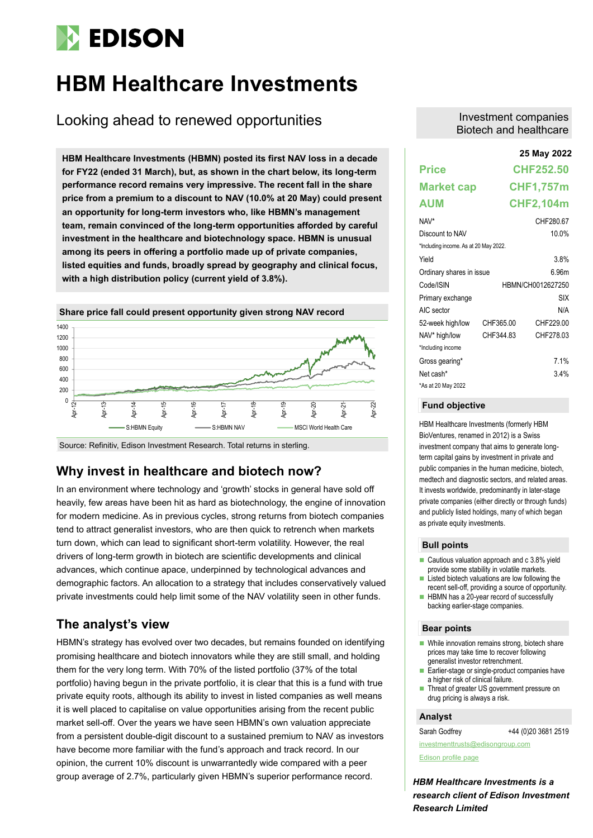# **EDISON**

# **HBM Healthcare Investments**

# Looking ahead to renewed opportunities

**25 May 2022 HBM Healthcare Investments (HBMN) posted its first NAV loss in a decade for FY22 (ended 31 March), but, as shown in the chart below, its long-term performance record remains very impressive. The recent fall in the share price from a premium to a discount to NAV (10.0% at 20 May) could present an opportunity for long-term investors who, like HBMN's management team, remain convinced of the long-term opportunities afforded by careful investment in the healthcare and biotechnology space. HBMN is unusual among its peers in offering a portfolio made up of private companies, listed equities and funds, broadly spread by geography and clinical focus, with a high distribution policy (current yield of 3.8%).** 



Source: Refinitiv, Edison Investment Research. Total returns in sterling.

### **Why invest in healthcare and biotech now?**

In an environment where technology and 'growth' stocks in general have sold off heavily, few areas have been hit as hard as biotechnology, the engine of innovation for modern medicine. As in previous cycles, strong returns from biotech companies tend to attract generalist investors, who are then quick to retrench when markets turn down, which can lead to significant short-term volatility. However, the real drivers of long-term growth in biotech are scientific developments and clinical advances, which continue apace, underpinned by technological advances and demographic factors. An allocation to a strategy that includes conservatively valued private investments could help limit some of the NAV volatility seen in other funds.

### **The analyst's view**

HBMN's strategy has evolved over two decades, but remains founded on identifying promising healthcare and biotech innovators while they are still small, and holding them for the very long term. With 70% of the listed portfolio (37% of the total portfolio) having begun in the private portfolio, it is clear that this is a fund with true private equity roots, although its ability to invest in listed companies as well means it is well placed to capitalise on value opportunities arising from the recent public market sell-off. Over the years we have seen HBMN's own valuation appreciate from a persistent double-digit discount to a sustained premium to NAV as investors have become more familiar with the fund's approach and track record. In our opinion, the current 10% discount is unwarrantedly wide compared with a peer group average of 2.7%, particularly given HBMN's superior performance record.

#### Investment companies Biotech and healthcare

|                                       |           | 25 May 2022       |
|---------------------------------------|-----------|-------------------|
| <b>Price</b>                          |           | <b>CHF252.50</b>  |
| <b>Market cap</b>                     |           | <b>CHF1,757m</b>  |
| AUM                                   |           | <b>CHF2,104m</b>  |
| NAV*                                  |           | CHF28067          |
| Discount to NAV                       |           | 10.0%             |
| *Including income. As at 20 May 2022. |           |                   |
| Yield                                 |           | 3.8%              |
| Ordinary shares in issue              |           | <u> 6 96m</u>     |
| Code/ISIN                             |           | HBMN/CH0012627250 |
| Primary exchange                      |           | SIX               |
| AIC sector                            |           | N/A               |
| 52-week high/low                      | CHF365.00 | CHF229.00         |
| NAV* high/low                         | CHF344.83 | CHF27803          |
| *Including income                     |           |                   |
| Gross gearing*                        |           | 7 1%              |
| Net cash*                             |           | 3.4%              |
| *As at 20 May 2022                    |           |                   |

#### **Fund objective**

HBM Healthcare Investments (formerly HBM BioVentures, renamed in 2012) is a Swiss investment company that aims to generate longterm capital gains by investment in private and public companies in the human medicine, biotech, medtech and diagnostic sectors, and related areas. It invests worldwide, predominantly in later-stage private companies (either directly or through funds) and publicly listed holdings, many of which began as private equity investments.

#### **Bull points**

- Cautious valuation approach and c 3.8% yield provide some stability in volatile markets.
- Listed biotech valuations are low following the recent sell-off, providing a source of opportunity.
- HBMN has a 20-year record of successfully backing earlier-stage companies.

#### **Bear points**

- While innovation remains strong, biotech share prices may take time to recover following generalist investor retrenchment.
- Earlier-stage or single-product companies have a higher risk of clinical failure.
- Threat of greater US government pressure on drug pricing is always a risk.

#### **Analyst**

Sarah Godfrey +44 (0)20 3681 2519 [investmenttrusts@edisongroup.com](mailto:investmenttrusts@edisongroup.com)

[Edison profile page](https://www.edisongroup.com/company/hbm-healthcare-investments/)

*HBM Healthcare Investments is a research client of Edison Investment Research Limited*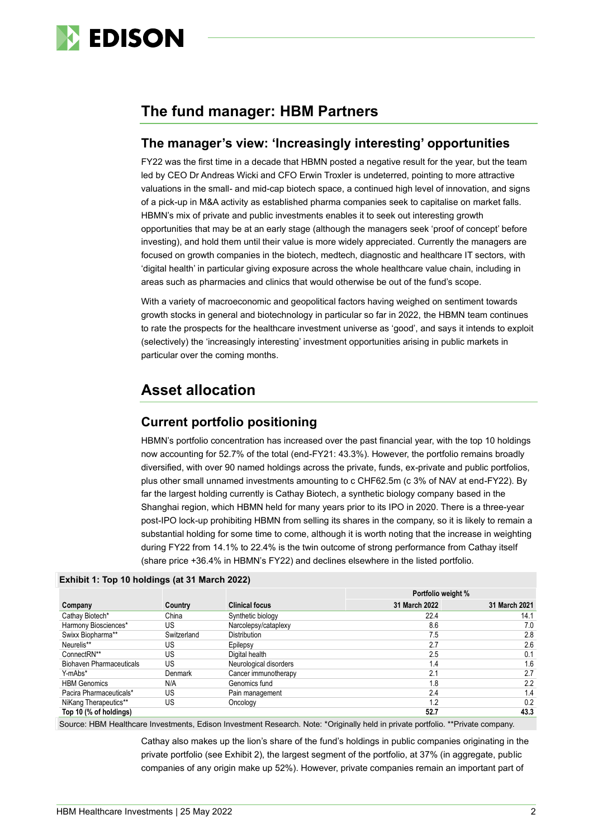

### **The fund manager: HBM Partners**

#### **The manager's view: 'Increasingly interesting' opportunities**

FY22 was the first time in a decade that HBMN posted a negative result for the year, but the team led by CEO Dr Andreas Wicki and CFO Erwin Troxler is undeterred, pointing to more attractive valuations in the small- and mid-cap biotech space, a continued high level of innovation, and signs of a pick-up in M&A activity as established pharma companies seek to capitalise on market falls. HBMN's mix of private and public investments enables it to seek out interesting growth opportunities that may be at an early stage (although the managers seek 'proof of concept' before investing), and hold them until their value is more widely appreciated. Currently the managers are focused on growth companies in the biotech, medtech, diagnostic and healthcare IT sectors, with 'digital health' in particular giving exposure across the whole healthcare value chain, including in areas such as pharmacies and clinics that would otherwise be out of the fund's scope.

With a variety of macroeconomic and geopolitical factors having weighed on sentiment towards growth stocks in general and biotechnology in particular so far in 2022, the HBMN team continues to rate the prospects for the healthcare investment universe as 'good', and says it intends to exploit (selectively) the 'increasingly interesting' investment opportunities arising in public markets in particular over the coming months.

# **Asset allocation**

### **Current portfolio positioning**

HBMN's portfolio concentration has increased over the past financial year, with the top 10 holdings now accounting for 52.7% of the total (end-FY21: 43.3%). However, the portfolio remains broadly diversified, with over 90 named holdings across the private, funds, ex-private and public portfolios, plus other small unnamed investments amounting to c CHF62.5m (c 3% of NAV at end-FY22). By far the largest holding currently is Cathay Biotech, a synthetic biology company based in the Shanghai region, which HBMN held for many years prior to its IPO in 2020. There is a three-year post-IPO lock-up prohibiting HBMN from selling its shares in the company, so it is likely to remain a substantial holding for some time to come, although it is worth noting that the increase in weighting during FY22 from 14.1% to 22.4% is the twin outcome of strong performance from Cathay itself (share price +36.4% in HBMN's FY22) and declines elsewhere in the listed portfolio.

|                                 |             |                        | Portfolio weight % |               |
|---------------------------------|-------------|------------------------|--------------------|---------------|
| Company                         | Country     | <b>Clinical focus</b>  | 31 March 2022      | 31 March 2021 |
| Cathay Biotech*                 | China       | Synthetic biology      | 22.4               | 14.1          |
| Harmony Biosciences*            | US          | Narcolepsy/cataplexy   | 8.6                | 7.0           |
| Swixx Biopharma**               | Switzerland | <b>Distribution</b>    | 7.5                | 2.8           |
| Neurelis**                      | US          | Epilepsy               | 2.7                | 2.6           |
| ConnectRN**                     | US          | Digital health         | 2.5                | 0.1           |
| <b>Biohaven Pharmaceuticals</b> | US          | Neurological disorders | 1.4                | 1.6           |
| Y-mAbs*                         | Denmark     | Cancer immunotherapy   | 2.1                | 2.7           |
| <b>HBM Genomics</b>             | N/A         | Genomics fund          | 1.8                | 2.2           |
| Pacira Pharmaceuticals*         | US          | Pain management        | 2.4                | 1.4           |
| NiKang Therapeutics**           | US          | Oncology               | 1.2                | 0.2           |
| Top 10 (% of holdings)          |             |                        | 52.7               | 43.3          |

#### **Exhibit 1: Top 10 holdings (at 31 March 2022)**

Source: HBM Healthcare Investments, Edison Investment Research. Note: \*Originally held in private portfolio. \*\*Private company.

Cathay also makes up the lion's share of the fund's holdings in public companies originating in the private portfolio (see Exhibit 2), the largest segment of the portfolio, at 37% (in aggregate, public companies of any origin make up 52%). However, private companies remain an important part of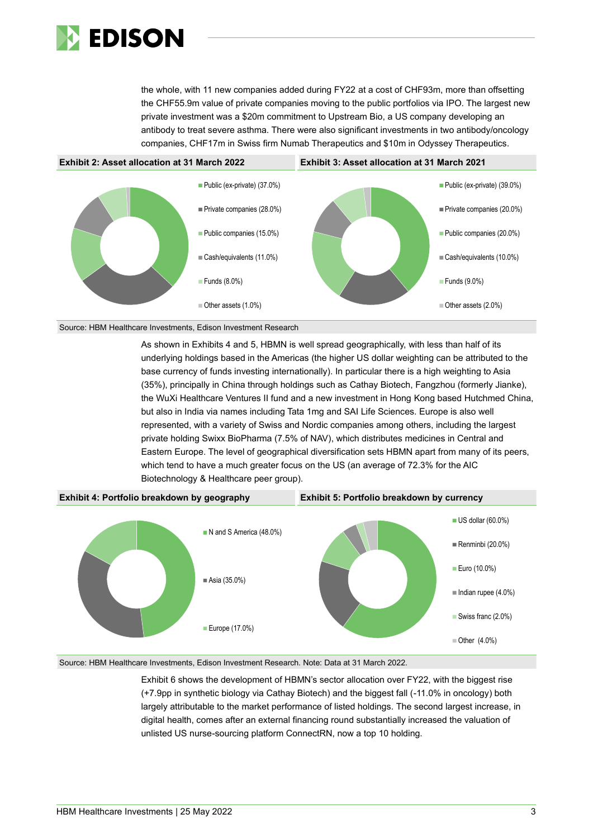

the whole, with 11 new companies added during FY22 at a cost of CHF93m, more than offsetting the CHF55.9m value of private companies moving to the public portfolios via IPO. The largest new private investment was a \$20m commitment to Upstream Bio, a US company developing an antibody to treat severe asthma. There were also significant investments in two antibody/oncology companies, CHF17m in Swiss firm Numab Therapeutics and \$10m in Odyssey Therapeutics.





As shown in Exhibits 4 and 5, HBMN is well spread geographically, with less than half of its underlying holdings based in the Americas (the higher US dollar weighting can be attributed to the base currency of funds investing internationally). In particular there is a high weighting to Asia (35%), principally in China through holdings such as Cathay Biotech, Fangzhou (formerly Jianke), the WuXi Healthcare Ventures II fund and a new investment in Hong Kong based Hutchmed China, but also in India via names including Tata 1mg and SAI Life Sciences. Europe is also well represented, with a variety of Swiss and Nordic companies among others, including the largest private holding Swixx BioPharma (7.5% of NAV), which distributes medicines in Central and Eastern Europe. The level of geographical diversification sets HBMN apart from many of its peers, which tend to have a much greater focus on the US (an average of 72.3% for the AIC Biotechnology & Healthcare peer group).



Source: HBM Healthcare Investments, Edison Investment Research. Note: Data at 31 March 2022.

Exhibit 6 shows the development of HBMN's sector allocation over FY22, with the biggest rise (+7.9pp in synthetic biology via Cathay Biotech) and the biggest fall (-11.0% in oncology) both largely attributable to the market performance of listed holdings. The second largest increase, in digital health, comes after an external financing round substantially increased the valuation of unlisted US nurse-sourcing platform ConnectRN, now a top 10 holding.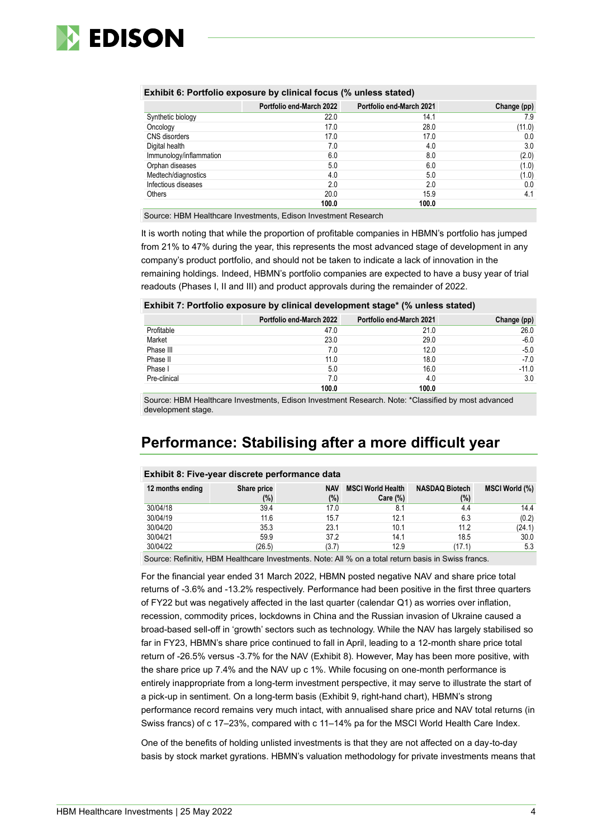

| Exhibit 6: Portfolio exposure by clinical focus (% unless stated) |                                 |                                 |  |  |  |
|-------------------------------------------------------------------|---------------------------------|---------------------------------|--|--|--|
|                                                                   | <b>Portfolio end-March 2022</b> | <b>Portfolio end-March 2021</b> |  |  |  |

|                         | Portfolio end-March 2022 | Portfolio end-March 2021 | Change (pp) |
|-------------------------|--------------------------|--------------------------|-------------|
| Synthetic biology       | 22.0                     | 14.1                     | 7.9         |
| Oncology                | 17.0                     | 28.0                     | (11.0)      |
| CNS disorders           | 17.0                     | 17.0                     | 0.0         |
| Digital health          | 7.0                      | 4.0                      | 3.0         |
| Immunology/inflammation | 6.0                      | 8.0                      | (2.0)       |
| Orphan diseases         | 5.0                      | 6.0                      | (1.0)       |
| Medtech/diagnostics     | 4.0                      | 5.0                      | (1.0)       |
| Infectious diseases     | 2.0                      | 2.0                      | 0.0         |
| Others                  | 20.0                     | 15.9                     | 4.1         |
|                         | 100.0                    | 100.0                    |             |

Source: HBM Healthcare Investments, Edison Investment Research

It is worth noting that while the proportion of profitable companies in HBMN's portfolio has jumped from 21% to 47% during the year, this represents the most advanced stage of development in any company's product portfolio, and should not be taken to indicate a lack of innovation in the remaining holdings. Indeed, HBMN's portfolio companies are expected to have a busy year of trial readouts (Phases I, II and III) and product approvals during the remainder of 2022.

#### **Exhibit 7: Portfolio exposure by clinical development stage\* (% unless stated)**

|              | <b>Portfolio end-March 2022</b> | <b>Portfolio end-March 2021</b> | Change (pp) |
|--------------|---------------------------------|---------------------------------|-------------|
| Profitable   | 47.0                            | 21.0                            | 26.0        |
| Market       | 23.0                            | 29.0                            | $-6.0$      |
| Phase III    | 7.0                             | 12.0                            | $-5.0$      |
| Phase II     | 11.0                            | 18.0                            | $-7.0$      |
| Phase I      | 5.0                             | 16.0                            | $-11.0$     |
| Pre-clinical | 7.0                             | 4.0                             | 3.0         |
|              | 100.0                           | 100.0                           |             |

Source: HBM Healthcare Investments, Edison Investment Research. Note: \*Classified by most advanced development stage.

## **Performance: Stabilising after a more difficult year**

#### **Exhibit 8: Five-year discrete performance data**

| 12 months ending | Share price<br>(%)                                                                                 | <b>NAV</b><br>(%) | <b>MSCI World Health</b><br>$Care (\%)$ | <b>NASDAQ Biotech</b><br>$(\%)$ | <b>MSCI World (%)</b> |
|------------------|----------------------------------------------------------------------------------------------------|-------------------|-----------------------------------------|---------------------------------|-----------------------|
| 30/04/18         | 39.4                                                                                               | 17.0              |                                         | 4.4                             | 14.4                  |
| 30/04/19         | 11.6                                                                                               | 15.7              | 12.1                                    | 6.3                             | (0.2)                 |
| 30/04/20         | 35.3                                                                                               | 23.1              | 10.1                                    | 11.2                            | (24.1)                |
| 30/04/21         | 59.9                                                                                               | 37.2              | 14.1                                    | 18.5                            | 30.0                  |
| 30/04/22         | (26.5)                                                                                             | (3.7)             | 12.9                                    | (17.1)                          | 5.3                   |
|                  | Source: Pofinitiv, HRM Hoalthcare Investments, Note: All % on a total return basis in Swiss france |                   |                                         |                                 |                       |

efinitiv, HBM Healthcare Investments. Note: All % on a total return basis in Swiss fraı

For the financial year ended 31 March 2022, HBMN posted negative NAV and share price total returns of -3.6% and -13.2% respectively. Performance had been positive in the first three quarters of FY22 but was negatively affected in the last quarter (calendar Q1) as worries over inflation, recession, commodity prices, lockdowns in China and the Russian invasion of Ukraine caused a broad-based sell-off in 'growth' sectors such as technology. While the NAV has largely stabilised so far in FY23, HBMN's share price continued to fall in April, leading to a 12-month share price total return of -26.5% versus -3.7% for the NAV (Exhibit 8). However, May has been more positive, with the share price up 7.4% and the NAV up c 1%. While focusing on one-month performance is entirely inappropriate from a long-term investment perspective, it may serve to illustrate the start of a pick-up in sentiment. On a long-term basis (Exhibit 9, right-hand chart), HBMN's strong performance record remains very much intact, with annualised share price and NAV total returns (in Swiss francs) of c 17–23%, compared with c 11–14% pa for the MSCI World Health Care Index.

One of the benefits of holding unlisted investments is that they are not affected on a day-to-day basis by stock market gyrations. HBMN's valuation methodology for private investments means that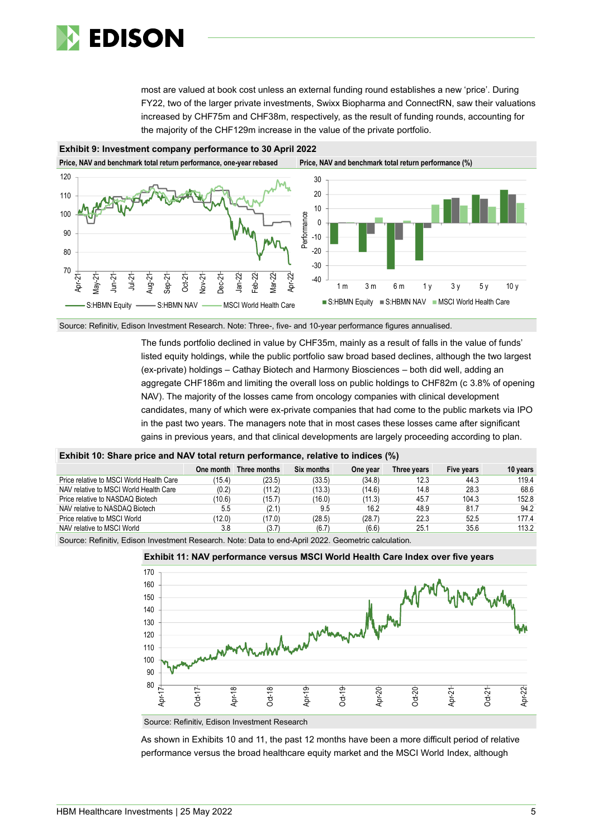

most are valued at book cost unless an external funding round establishes a new 'price'. During FY22, two of the larger private investments, Swixx Biopharma and ConnectRN, saw their valuations increased by CHF75m and CHF38m, respectively, as the result of funding rounds, accounting for the majority of the CHF129m increase in the value of the private portfolio.



Source: Refinitiv, Edison Investment Research. Note: Three-, five- and 10-year performance figures annualised.

The funds portfolio declined in value by CHF35m, mainly as a result of falls in the value of funds' listed equity holdings, while the public portfolio saw broad based declines, although the two largest (ex-private) holdings – Cathay Biotech and Harmony Biosciences – both did well, adding an aggregate CHF186m and limiting the overall loss on public holdings to CHF82m (c 3.8% of opening NAV). The majority of the losses came from oncology companies with clinical development candidates, many of which were ex-private companies that had come to the public markets via IPO in the past two years. The managers note that in most cases these losses came after significant gains in previous years, and that clinical developments are largely proceeding according to plan.

#### **Exhibit 10: Share price and NAV total return performance, relative to indices (%)**

|                                                                                                    | One month | Three months | Six months | One year | Three vears | Five years | 10 years |  |
|----------------------------------------------------------------------------------------------------|-----------|--------------|------------|----------|-------------|------------|----------|--|
| Price relative to MSCI World Health Care                                                           | (15.4     | (23.5)       | (33.5)     | (34.8)   | 12.3        | 44.3       | 119.4    |  |
| NAV relative to MSCI World Health Care                                                             | (0.2)     | (11.2)       | (13.3)     | (14.6)   | 14.8        | 28.3       | 68.6     |  |
| Price relative to NASDAQ Biotech                                                                   | (10.6)    | (15.7)       | (16.0)     | (11.3)   | 45.7        | 104.3      | 152.8    |  |
| NAV relative to NASDAQ Biotech                                                                     | 5.5       | (2.1)        | 9.5        | 16.2     | 48.9        | 81.7       | 94.2     |  |
| Price relative to MSCI World                                                                       | (12.0)    | (17.0)       | (28.5)     | (28.7)   | 22.3        | 52.5       | 177.4    |  |
| NAV relative to MSCI World                                                                         | 3.8       | (3.7)        | (6.7)      | (6.6)    | 25.1        | 35.6       | 113.2    |  |
| Course: Definitive Edison Investment Dessarch, Nata: Data to and April 2022, Coometria soloulation |           |              |            |          |             |            |          |  |

Source: Refinitiv, Edison Investment Research. Note: Data to end-April 2022. Geometric calculation.





Source: Refinitiv, Edison Investment Research

As shown in Exhibits 10 and 11, the past 12 months have been a more difficult period of relative performance versus the broad healthcare equity market and the MSCI World Index, although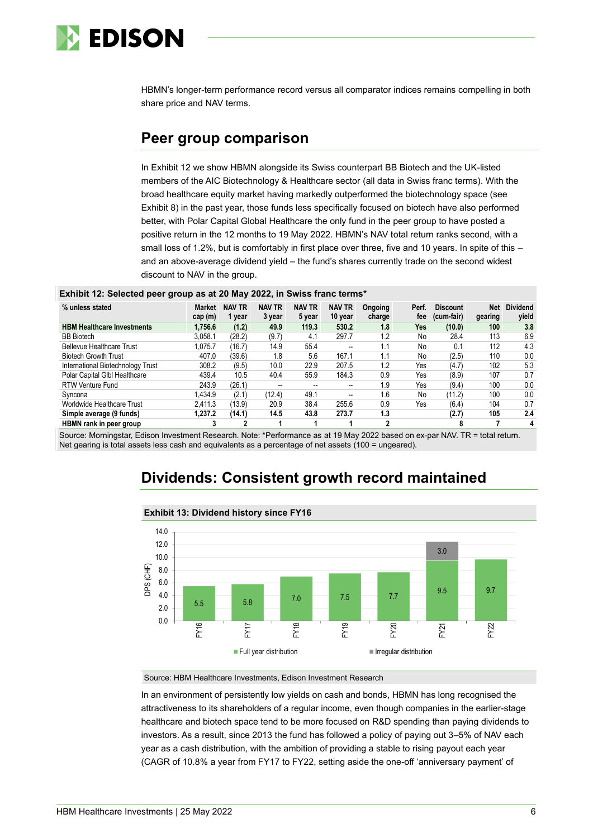

HBMN's longer-term performance record versus all comparator indices remains compelling in both share price and NAV terms.

### **Peer group comparison**

In Exhibit 12 we show HBMN alongside its Swiss counterpart BB Biotech and the UK-listed members of the AIC Biotechnology & Healthcare sector (all data in Swiss franc terms). With the broad healthcare equity market having markedly outperformed the biotechnology space (see Exhibit 8) in the past year, those funds less specifically focused on biotech have also performed better, with Polar Capital Global Healthcare the only fund in the peer group to have posted a positive return in the 12 months to 19 May 2022. HBMN's NAV total return ranks second, with a small loss of 1.2%, but is comfortably in first place over three, five and 10 years. In spite of this – and an above-average dividend yield – the fund's shares currently trade on the second widest discount to NAV in the group.

#### **Exhibit 12: Selected peer group as at 20 May 2022, in Swiss franc terms\***

| % unless stated                   | Market<br>cap (m) | <b>NAV TR</b><br>1 year | <b>NAV TR</b><br>3 year  | <b>NAV TR</b><br>5 year | <b>NAV TR</b><br>10 year | Ongoing<br>charge | Perf.<br>fee | <b>Discount</b><br>(cum-fair) | Net<br>gearing | <b>Dividend</b><br>vield |
|-----------------------------------|-------------------|-------------------------|--------------------------|-------------------------|--------------------------|-------------------|--------------|-------------------------------|----------------|--------------------------|
| <b>HBM Healthcare Investments</b> | 1,756.6           | (1.2)                   | 49.9                     | 119.3                   | 530.2                    | 1.8               | <b>Yes</b>   | (10.0)                        | 100            | 3.8                      |
| <b>BB</b> Biotech                 | 3.058.1           | (28.2)                  | (9.7)                    | 4.1                     | 297.7                    | 1.2               | No           | 28.4                          | 113            | 6.9                      |
| <b>Bellevue Healthcare Trust</b>  | 1.075.7           | (16.7)                  | 14.9                     | 55.4                    | $\overline{\phantom{a}}$ | 1.1               | No           | 0.1                           | 112            | 4.3                      |
| <b>Biotech Growth Trust</b>       | 407.0             | (39.6)                  | 1.8                      | 5.6                     | 167.1                    | 1.1               | No           | (2.5)                         | 110            | 0.0                      |
| International Biotechnology Trust | 308.2             | (9.5)                   | 10.0                     | 22.9                    | 207.5                    | 1.2               | Yes          | (4.7)                         | 102            | 5.3                      |
| Polar Capital Glbl Healthcare     | 439.4             | 10.5                    | 40.4                     | 55.9                    | 184.3                    | 0.9               | Yes          | (8.9)                         | 107            | 0.7                      |
| <b>RTW Venture Fund</b>           | 243.9             | (26.1)                  | $\overline{\phantom{a}}$ |                         |                          | 1.9               | Yes          | (9.4)                         | 100            | 0.0                      |
| Syncona                           | .434.9            | (2.1)                   | (12.4)                   | 49.1                    | $-$                      | 1.6               | No           | (11.2)                        | 100            | 0.0                      |
| Worldwide Healthcare Trust        | 2.411.3           | (13.9)                  | 20.9                     | 38.4                    | 255.6                    | 0.9               | Yes          | (6.4)                         | 104            | 0.7                      |
| Simple average (9 funds)          | 1,237.2           | (14.1)                  | 14.5                     | 43.8                    | 273.7                    | 1.3               |              | (2.7)                         | 105            | 2.4                      |
| HBMN rank in peer group           |                   |                         |                          |                         |                          | ົ                 |              | 8                             |                | 4                        |

Source: Morningstar, Edison Investment Research. Note: \*Performance as at 19 May 2022 based on ex-par NAV. TR = total return. Net gearing is total assets less cash and equivalents as a percentage of net assets (100 = ungeared).

## **Dividends: Consistent growth record maintained**



#### **Exhibit 13: Dividend history since FY16**

Source: HBM Healthcare Investments, Edison Investment Research

In an environment of persistently low yields on cash and bonds, HBMN has long recognised the attractiveness to its shareholders of a regular income, even though companies in the earlier-stage healthcare and biotech space tend to be more focused on R&D spending than paying dividends to investors. As a result, since 2013 the fund has followed a policy of paying out 3–5% of NAV each year as a cash distribution, with the ambition of providing a stable to rising payout each year (CAGR of 10.8% a year from FY17 to FY22, setting aside the one-off 'anniversary payment' of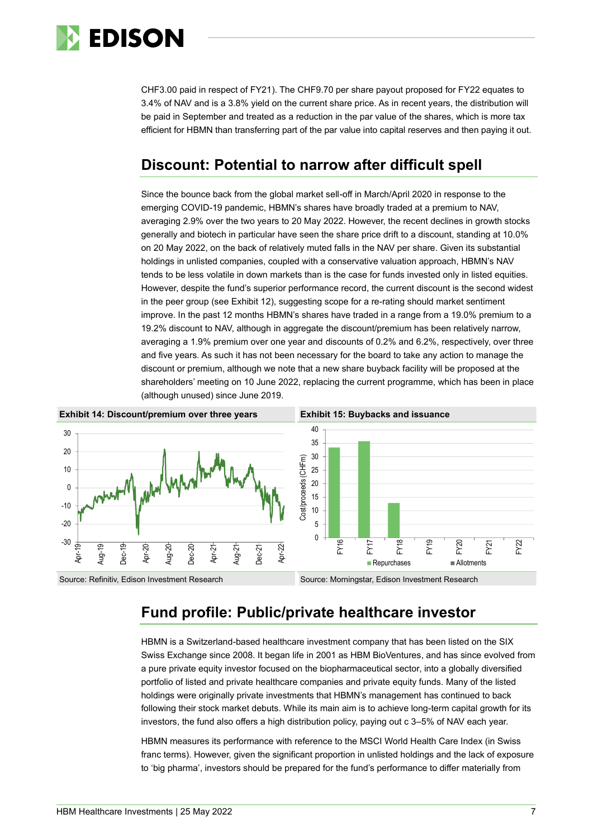

CHF3.00 paid in respect of FY21). The CHF9.70 per share payout proposed for FY22 equates to 3.4% of NAV and is a 3.8% yield on the current share price. As in recent years, the distribution will be paid in September and treated as a reduction in the par value of the shares, which is more tax efficient for HBMN than transferring part of the par value into capital reserves and then paying it out.

### **Discount: Potential to narrow after difficult spell**

Since the bounce back from the global market sell-off in March/April 2020 in response to the emerging COVID-19 pandemic, HBMN's shares have broadly traded at a premium to NAV, averaging 2.9% over the two years to 20 May 2022. However, the recent declines in growth stocks generally and biotech in particular have seen the share price drift to a discount, standing at 10.0% on 20 May 2022, on the back of relatively muted falls in the NAV per share. Given its substantial holdings in unlisted companies, coupled with a conservative valuation approach, HBMN's NAV tends to be less volatile in down markets than is the case for funds invested only in listed equities. However, despite the fund's superior performance record, the current discount is the second widest in the peer group (see Exhibit 12), suggesting scope for a re-rating should market sentiment improve. In the past 12 months HBMN's shares have traded in a range from a 19.0% premium to a 19.2% discount to NAV, although in aggregate the discount/premium has been relatively narrow, averaging a 1.9% premium over one year and discounts of 0.2% and 6.2%, respectively, over three and five years. As such it has not been necessary for the board to take any action to manage the discount or premium, although we note that a new share buyback facility will be proposed at the shareholders' meeting on 10 June 2022, replacing the current programme, which has been in place (although unused) since June 2019.



## **Fund profile: Public/private healthcare investor**

HBMN is a Switzerland-based healthcare investment company that has been listed on the SIX Swiss Exchange since 2008. It began life in 2001 as HBM BioVentures, and has since evolved from a pure private equity investor focused on the biopharmaceutical sector, into a globally diversified portfolio of listed and private healthcare companies and private equity funds. Many of the listed holdings were originally private investments that HBMN's management has continued to back following their stock market debuts. While its main aim is to achieve long-term capital growth for its investors, the fund also offers a high distribution policy, paying out c 3–5% of NAV each year.

HBMN measures its performance with reference to the MSCI World Health Care Index (in Swiss franc terms). However, given the significant proportion in unlisted holdings and the lack of exposure to 'big pharma', investors should be prepared for the fund's performance to differ materially from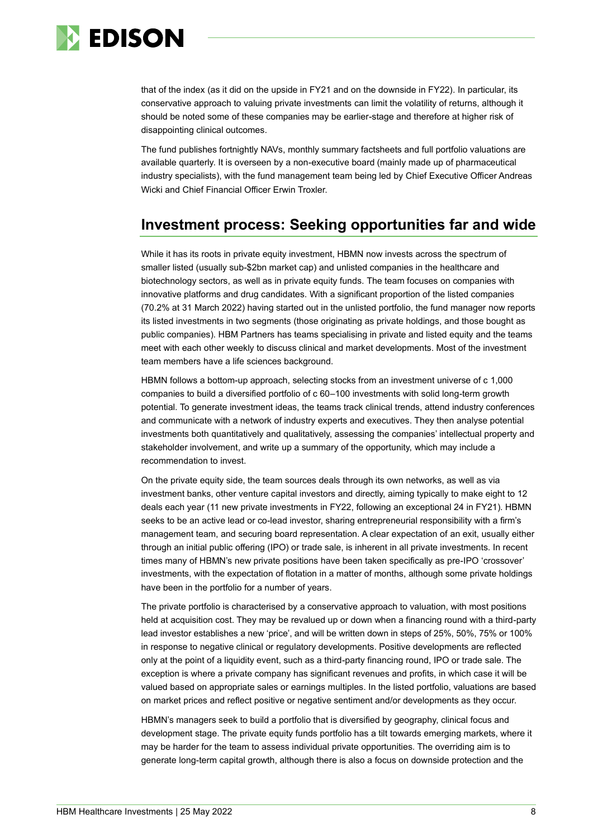

that of the index (as it did on the upside in FY21 and on the downside in FY22). In particular, its conservative approach to valuing private investments can limit the volatility of returns, although it should be noted some of these companies may be earlier-stage and therefore at higher risk of disappointing clinical outcomes.

The fund publishes fortnightly NAVs, monthly summary factsheets and full portfolio valuations are available quarterly. It is overseen by a non-executive board (mainly made up of pharmaceutical industry specialists), with the fund management team being led by Chief Executive Officer Andreas Wicki and Chief Financial Officer Erwin Troxler.

### **Investment process: Seeking opportunities far and wide**

While it has its roots in private equity investment, HBMN now invests across the spectrum of smaller listed (usually sub-\$2bn market cap) and unlisted companies in the healthcare and biotechnology sectors, as well as in private equity funds. The team focuses on companies with innovative platforms and drug candidates. With a significant proportion of the listed companies (70.2% at 31 March 2022) having started out in the unlisted portfolio, the fund manager now reports its listed investments in two segments (those originating as private holdings, and those bought as public companies). HBM Partners has teams specialising in private and listed equity and the teams meet with each other weekly to discuss clinical and market developments. Most of the investment team members have a life sciences background.

HBMN follows a bottom-up approach, selecting stocks from an investment universe of c 1,000 companies to build a diversified portfolio of c 60–100 investments with solid long-term growth potential. To generate investment ideas, the teams track clinical trends, attend industry conferences and communicate with a network of industry experts and executives. They then analyse potential investments both quantitatively and qualitatively, assessing the companies' intellectual property and stakeholder involvement, and write up a summary of the opportunity, which may include a recommendation to invest.

On the private equity side, the team sources deals through its own networks, as well as via investment banks, other venture capital investors and directly, aiming typically to make eight to 12 deals each year (11 new private investments in FY22, following an exceptional 24 in FY21). HBMN seeks to be an active lead or co-lead investor, sharing entrepreneurial responsibility with a firm's management team, and securing board representation. A clear expectation of an exit, usually either through an initial public offering (IPO) or trade sale, is inherent in all private investments. In recent times many of HBMN's new private positions have been taken specifically as pre-IPO 'crossover' investments, with the expectation of flotation in a matter of months, although some private holdings have been in the portfolio for a number of years.

The private portfolio is characterised by a conservative approach to valuation, with most positions held at acquisition cost. They may be revalued up or down when a financing round with a third-party lead investor establishes a new 'price', and will be written down in steps of 25%, 50%, 75% or 100% in response to negative clinical or regulatory developments. Positive developments are reflected only at the point of a liquidity event, such as a third-party financing round, IPO or trade sale. The exception is where a private company has significant revenues and profits, in which case it will be valued based on appropriate sales or earnings multiples. In the listed portfolio, valuations are based on market prices and reflect positive or negative sentiment and/or developments as they occur.

HBMN's managers seek to build a portfolio that is diversified by geography, clinical focus and development stage. The private equity funds portfolio has a tilt towards emerging markets, where it may be harder for the team to assess individual private opportunities. The overriding aim is to generate long-term capital growth, although there is also a focus on downside protection and the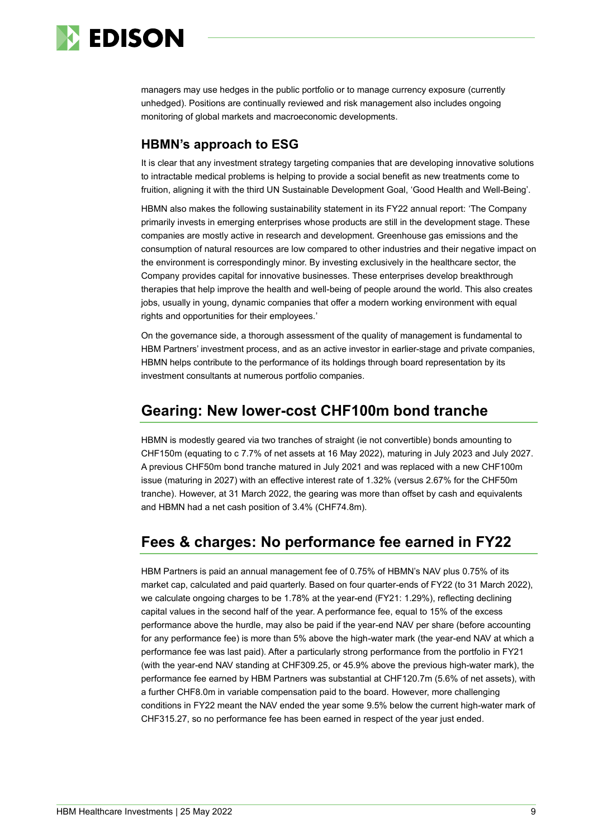

managers may use hedges in the public portfolio or to manage currency exposure (currently unhedged). Positions are continually reviewed and risk management also includes ongoing monitoring of global markets and macroeconomic developments.

#### **HBMN's approach to ESG**

It is clear that any investment strategy targeting companies that are developing innovative solutions to intractable medical problems is helping to provide a social benefit as new treatments come to fruition, aligning it with the third UN Sustainable Development Goal, 'Good Health and Well-Being'.

HBMN also makes the following sustainability statement in its FY22 annual report: 'The Company primarily invests in emerging enterprises whose products are still in the development stage. These companies are mostly active in research and development. Greenhouse gas emissions and the consumption of natural resources are low compared to other industries and their negative impact on the environment is correspondingly minor. By investing exclusively in the healthcare sector, the Company provides capital for innovative businesses. These enterprises develop breakthrough therapies that help improve the health and well-being of people around the world. This also creates jobs, usually in young, dynamic companies that offer a modern working environment with equal rights and opportunities for their employees.'

On the governance side, a thorough assessment of the quality of management is fundamental to HBM Partners' investment process, and as an active investor in earlier-stage and private companies, HBMN helps contribute to the performance of its holdings through board representation by its investment consultants at numerous portfolio companies.

### **Gearing: New lower-cost CHF100m bond tranche**

HBMN is modestly geared via two tranches of straight (ie not convertible) bonds amounting to CHF150m (equating to c 7.7% of net assets at 16 May 2022), maturing in July 2023 and July 2027. A previous CHF50m bond tranche matured in July 2021 and was replaced with a new CHF100m issue (maturing in 2027) with an effective interest rate of 1.32% (versus 2.67% for the CHF50m tranche). However, at 31 March 2022, the gearing was more than offset by cash and equivalents and HBMN had a net cash position of 3.4% (CHF74.8m).

## **Fees & charges: No performance fee earned in FY22**

HBM Partners is paid an annual management fee of 0.75% of HBMN's NAV plus 0.75% of its market cap, calculated and paid quarterly. Based on four quarter-ends of FY22 (to 31 March 2022), we calculate ongoing charges to be 1.78% at the year-end (FY21: 1.29%), reflecting declining capital values in the second half of the year. A performance fee, equal to 15% of the excess performance above the hurdle, may also be paid if the year-end NAV per share (before accounting for any performance fee) is more than 5% above the high-water mark (the year-end NAV at which a performance fee was last paid). After a particularly strong performance from the portfolio in FY21 (with the year-end NAV standing at CHF309.25, or 45.9% above the previous high-water mark), the performance fee earned by HBM Partners was substantial at CHF120.7m (5.6% of net assets), with a further CHF8.0m in variable compensation paid to the board. However, more challenging conditions in FY22 meant the NAV ended the year some 9.5% below the current high-water mark of CHF315.27, so no performance fee has been earned in respect of the year just ended.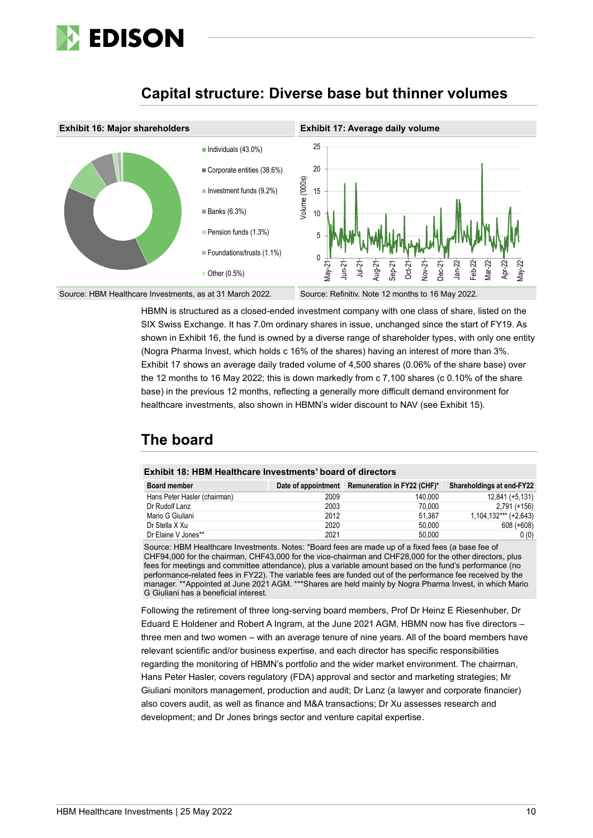

### **Capital structure: Diverse base but thinner volumes**



HBMN is structured as a closed-ended investment company with one class of share, listed on the SIX Swiss Exchange. It has 7.0m ordinary shares in issue, unchanged since the start of FY19. As shown in Exhibit 16, the fund is owned by a diverse range of shareholder types, with only one entity (Nogra Pharma Invest, which holds c 16% of the shares) having an interest of more than 3%. Exhibit 17 shows an average daily traded volume of 4,500 shares (0.06% of the share base) over the 12 months to 16 May 2022; this is down markedly from c 7,100 shares (c 0.10% of the share base) in the previous 12 months, reflecting a generally more difficult demand environment for healthcare investments, also shown in HBMN's wider discount to NAV (see Exhibit 15).

## **The board**

| <b>Exhibit 18: HBM Healthcare Investments' board of directors</b> |  |
|-------------------------------------------------------------------|--|
|-------------------------------------------------------------------|--|

| <b>Board member</b>          |      | Date of appointment Remuneration in FY22 (CHF)* | Shareholdings at end-FY22 |
|------------------------------|------|-------------------------------------------------|---------------------------|
| Hans Peter Hasler (chairman) | 2009 | 140.000                                         | 12,841 (+5,131)           |
| Dr Rudolf Lanz               | 2003 | 70.000                                          | $2,791 (+156)$            |
| Mario G Giuliani             | 2012 | 51.367                                          | $1,104,132***$ (+2,643)   |
| Dr Stella X Xu               | 2020 | 50.000                                          | $608 (+608)$              |
| Dr Elaine V Jones**          | 2021 | 50.000                                          | 0(0)                      |

Source: HBM Healthcare Investments. Notes: \*Board fees are made up of a fixed fees (a base fee of CHF94,000 for the chairman, CHF43,000 for the vice-chairman and CHF28,000 for the other directors, plus fees for meetings and committee attendance), plus a variable amount based on the fund's performance (no performance-related fees in FY22). The variable fees are funded out of the performance fee received by the manager. \*\*Appointed at June 2021 AGM. \*\*\*Shares are held mainly by Nogra Pharma Invest, in which Mario G Giuliani has a beneficial interest.

Following the retirement of three long-serving board members, Prof Dr Heinz E Riesenhuber, Dr Eduard E Holdener and Robert A Ingram, at the June 2021 AGM, HBMN now has five directors – three men and two women – with an average tenure of nine years. All of the board members have relevant scientific and/or business expertise, and each director has specific responsibilities regarding the monitoring of HBMN's portfolio and the wider market environment. The chairman, Hans Peter Hasler, covers regulatory (FDA) approval and sector and marketing strategies; Mr Giuliani monitors management, production and audit; Dr Lanz (a lawyer and corporate financier) also covers audit, as well as finance and M&A transactions; Dr Xu assesses research and development; and Dr Jones brings sector and venture capital expertise.